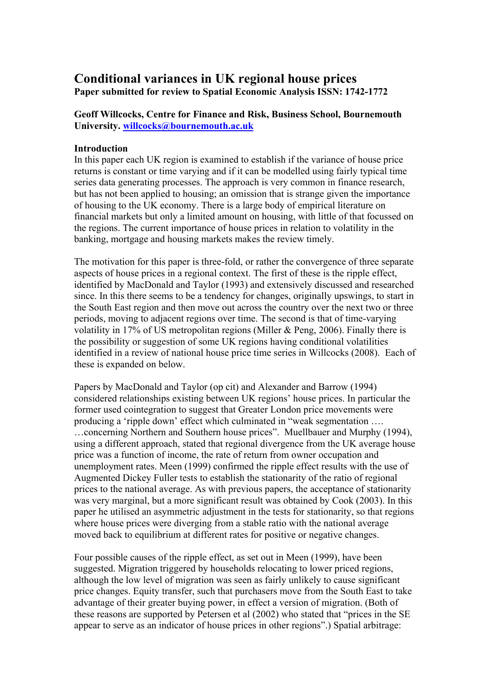# **Conditional variances in UK regional house prices Paper submitted for review to Spatial Economic Analysis ISSN: 1742-1772**

# **Geoff Willcocks, Centre for Finance and Risk, Business School, Bournemouth University. [willcocks@bournemouth.ac.uk](mailto:willcocks@bournemouth.ac.uk)**

#### **Introduction**

In this paper each UK region is examined to establish if the variance of house price returns is constant or time varying and if it can be modelled using fairly typical time series data generating processes. The approach is very common in finance research, but has not been applied to housing; an omission that is strange given the importance of housing to the UK economy. There is a large body of empirical literature on financial markets but only a limited amount on housing, with little of that focussed on the regions. The current importance of house prices in relation to volatility in the banking, mortgage and housing markets makes the review timely.

The motivation for this paper is three-fold, or rather the convergence of three separate aspects of house prices in a regional context. The first of these is the ripple effect, identified by MacDonald and Taylor (1993) and extensively discussed and researched since. In this there seems to be a tendency for changes, originally upswings, to start in the South East region and then move out across the country over the next two or three periods, moving to adjacent regions over time. The second is that of time-varying volatility in 17% of US metropolitan regions (Miller & Peng, 2006). Finally there is the possibility or suggestion of some UK regions having conditional volatilities identified in a review of national house price time series in Willcocks (2008). Each of these is expanded on below.

Papers by MacDonald and Taylor (op cit) and Alexander and Barrow (1994) considered relationships existing between UK regions' house prices. In particular the former used cointegration to suggest that Greater London price movements were producing a 'ripple down' effect which culminated in "weak segmentation …. …concerning Northern and Southern house prices". Muellbauer and Murphy (1994), using a different approach, stated that regional divergence from the UK average house price was a function of income, the rate of return from owner occupation and unemployment rates. Meen (1999) confirmed the ripple effect results with the use of Augmented Dickey Fuller tests to establish the stationarity of the ratio of regional prices to the national average. As with previous papers, the acceptance of stationarity was very marginal, but a more significant result was obtained by Cook (2003). In this paper he utilised an asymmetric adjustment in the tests for stationarity, so that regions where house prices were diverging from a stable ratio with the national average moved back to equilibrium at different rates for positive or negative changes.

Four possible causes of the ripple effect, as set out in Meen (1999), have been suggested. Migration triggered by households relocating to lower priced regions, although the low level of migration was seen as fairly unlikely to cause significant price changes. Equity transfer, such that purchasers move from the South East to take advantage of their greater buying power, in effect a version of migration. (Both of these reasons are supported by Petersen et al (2002) who stated that "prices in the SE appear to serve as an indicator of house prices in other regions".) Spatial arbitrage: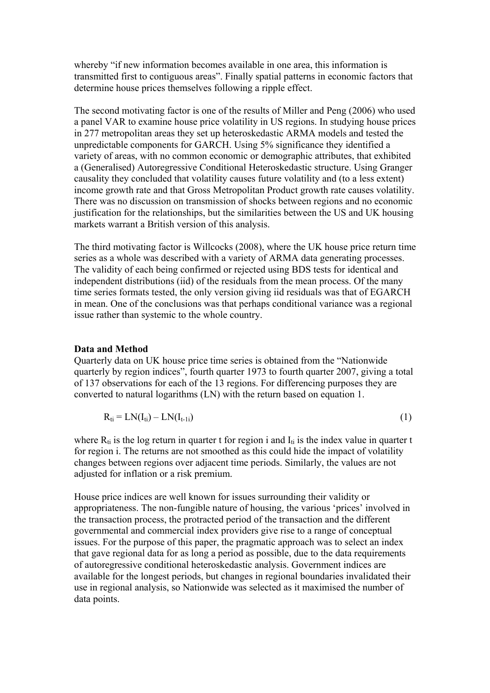whereby "if new information becomes available in one area, this information is transmitted first to contiguous areas". Finally spatial patterns in economic factors that determine house prices themselves following a ripple effect.

The second motivating factor is one of the results of Miller and Peng (2006) who used a panel VAR to examine house price volatility in US regions. In studying house prices in 277 metropolitan areas they set up heteroskedastic ARMA models and tested the unpredictable components for GARCH. Using 5% significance they identified a variety of areas, with no common economic or demographic attributes, that exhibited a (Generalised) Autoregressive Conditional Heteroskedastic structure. Using Granger causality they concluded that volatility causes future volatility and (to a less extent) income growth rate and that Gross Metropolitan Product growth rate causes volatility. There was no discussion on transmission of shocks between regions and no economic justification for the relationships, but the similarities between the US and UK housing markets warrant a British version of this analysis.

The third motivating factor is Willcocks (2008), where the UK house price return time series as a whole was described with a variety of ARMA data generating processes. The validity of each being confirmed or rejected using BDS tests for identical and independent distributions (iid) of the residuals from the mean process. Of the many time series formats tested, the only version giving iid residuals was that of EGARCH in mean. One of the conclusions was that perhaps conditional variance was a regional issue rather than systemic to the whole country.

#### **Data and Method**

Quarterly data on UK house price time series is obtained from the "Nationwide quarterly by region indices", fourth quarter 1973 to fourth quarter 2007, giving a total of 137 observations for each of the 13 regions. For differencing purposes they are converted to natural logarithms (LN) with the return based on equation 1.

$$
R_{ti} = LN(I_{ti}) - LN(I_{t-1i})
$$
\n<sup>(1)</sup>

where  $R_{ti}$  is the log return in quarter t for region i and  $I_{ti}$  is the index value in quarter t for region i. The returns are not smoothed as this could hide the impact of volatility changes between regions over adjacent time periods. Similarly, the values are not adjusted for inflation or a risk premium.

House price indices are well known for issues surrounding their validity or appropriateness. The non-fungible nature of housing, the various 'prices' involved in the transaction process, the protracted period of the transaction and the different governmental and commercial index providers give rise to a range of conceptual issues. For the purpose of this paper, the pragmatic approach was to select an index that gave regional data for as long a period as possible, due to the data requirements of autoregressive conditional heteroskedastic analysis. Government indices are available for the longest periods, but changes in regional boundaries invalidated their use in regional analysis, so Nationwide was selected as it maximised the number of data points.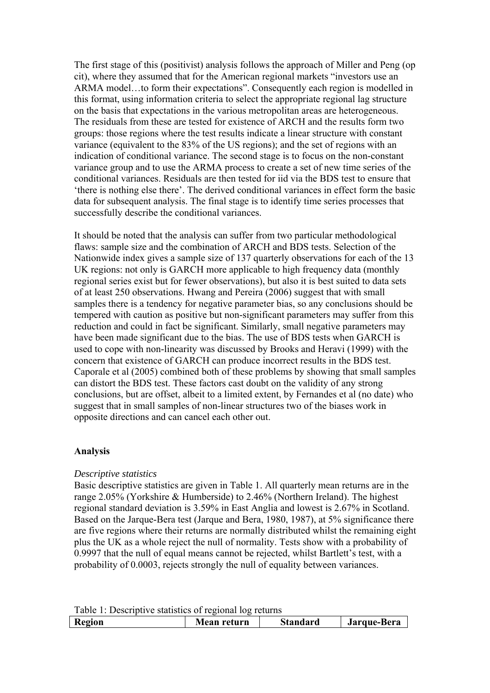The first stage of this (positivist) analysis follows the approach of Miller and Peng (op cit), where they assumed that for the American regional markets "investors use an ARMA model…to form their expectations". Consequently each region is modelled in this format, using information criteria to select the appropriate regional lag structure on the basis that expectations in the various metropolitan areas are heterogeneous. The residuals from these are tested for existence of ARCH and the results form two groups: those regions where the test results indicate a linear structure with constant variance (equivalent to the 83% of the US regions); and the set of regions with an indication of conditional variance. The second stage is to focus on the non-constant variance group and to use the ARMA process to create a set of new time series of the conditional variances. Residuals are then tested for iid via the BDS test to ensure that 'there is nothing else there'. The derived conditional variances in effect form the basic data for subsequent analysis. The final stage is to identify time series processes that successfully describe the conditional variances.

It should be noted that the analysis can suffer from two particular methodological flaws: sample size and the combination of ARCH and BDS tests. Selection of the Nationwide index gives a sample size of 137 quarterly observations for each of the 13 UK regions: not only is GARCH more applicable to high frequency data (monthly regional series exist but for fewer observations), but also it is best suited to data sets of at least 250 observations. Hwang and Pereira (2006) suggest that with small samples there is a tendency for negative parameter bias, so any conclusions should be tempered with caution as positive but non-significant parameters may suffer from this reduction and could in fact be significant. Similarly, small negative parameters may have been made significant due to the bias. The use of BDS tests when GARCH is used to cope with non-linearity was discussed by Brooks and Heravi (1999) with the concern that existence of GARCH can produce incorrect results in the BDS test. Caporale et al (2005) combined both of these problems by showing that small samples can distort the BDS test. These factors cast doubt on the validity of any strong conclusions, but are offset, albeit to a limited extent, by Fernandes et al (no date) who suggest that in small samples of non-linear structures two of the biases work in opposite directions and can cancel each other out.

## **Analysis**

## *Descriptive statistics*

Basic descriptive statistics are given in Table 1. All quarterly mean returns are in the range 2.05% (Yorkshire & Humberside) to 2.46% (Northern Ireland). The highest regional standard deviation is 3.59% in East Anglia and lowest is 2.67% in Scotland. Based on the Jarque-Bera test (Jarque and Bera, 1980, 1987), at 5% significance there are five regions where their returns are normally distributed whilst the remaining eight plus the UK as a whole reject the null of normality. Tests show with a probability of 0.9997 that the null of equal means cannot be rejected, whilst Bartlett's test, with a probability of 0.0003, rejects strongly the null of equality between variances.

| Table 1: Descriptive statistics of regional log returns |                                               |  |  |  |  |
|---------------------------------------------------------|-----------------------------------------------|--|--|--|--|
| Region                                                  | Jarque-Bera<br><b>Standard</b><br>Mean return |  |  |  |  |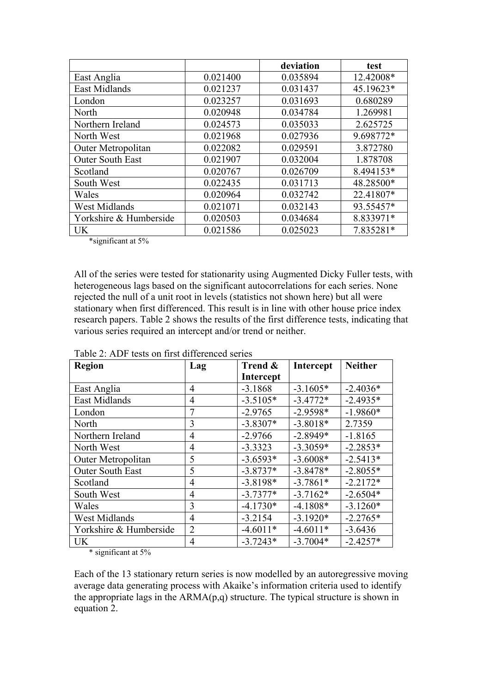|                         |          | deviation | test      |
|-------------------------|----------|-----------|-----------|
| East Anglia             | 0.021400 | 0.035894  | 12.42008* |
| East Midlands           | 0.021237 | 0.031437  | 45.19623* |
| London                  | 0.023257 | 0.031693  | 0.680289  |
| North                   | 0.020948 | 0.034784  | 1.269981  |
| Northern Ireland        | 0.024573 | 0.035033  | 2.625725  |
| North West              | 0.021968 | 0.027936  | 9.698772* |
| Outer Metropolitan      | 0.022082 | 0.029591  | 3.872780  |
| <b>Outer South East</b> | 0.021907 | 0.032004  | 1.878708  |
| Scotland                | 0.020767 | 0.026709  | 8.494153* |
| South West              | 0.022435 | 0.031713  | 48.28500* |
| Wales                   | 0.020964 | 0.032742  | 22.41807* |
| West Midlands           | 0.021071 | 0.032143  | 93.55457* |
| Yorkshire & Humberside  | 0.020503 | 0.034684  | 8.833971* |
| <b>UK</b>               | 0.021586 | 0.025023  | 7.835281* |

\*significant at 5%

All of the series were tested for stationarity using Augmented Dicky Fuller tests, with heterogeneous lags based on the significant autocorrelations for each series. None rejected the null of a unit root in levels (statistics not shown here) but all were stationary when first differenced. This result is in line with other house price index research papers. Table 2 shows the results of the first difference tests, indicating that various series required an intercept and/or trend or neither.

| <b>Region</b>           | Lag            | Trend &    | Intercept  | <b>Neither</b> |
|-------------------------|----------------|------------|------------|----------------|
|                         |                | Intercept  |            |                |
| East Anglia             | $\overline{4}$ | $-3.1868$  | $-3.1605*$ | $-2.4036*$     |
| East Midlands           | 4              | $-3.5105*$ | $-3.4772*$ | $-2.4935*$     |
| London                  | 7              | $-2.9765$  | $-2.9598*$ | $-1.9860*$     |
| North                   | 3              | $-3.8307*$ | $-3.8018*$ | 2.7359         |
| Northern Ireland        | 4              | $-2.9766$  | $-2.8949*$ | $-1.8165$      |
| North West              | 4              | $-3.3323$  | $-3.3059*$ | $-2.2853*$     |
| Outer Metropolitan      | 5              | $-3.6593*$ | $-3.6008*$ | $-2.5413*$     |
| <b>Outer South East</b> | 5              | $-3.8737*$ | $-3.8478*$ | $-2.8055*$     |
| Scotland                | 4              | $-3.8198*$ | $-3.7861*$ | $-2.2172*$     |
| South West              | 4              | $-3.7377*$ | $-3.7162*$ | $-2.6504*$     |
| Wales                   | 3              | $-4.1730*$ | $-4.1808*$ | $-3.1260*$     |
| West Midlands           | 4              | $-3.2154$  | $-3.1920*$ | $-2.2765*$     |
| Yorkshire & Humberside  | $\overline{2}$ | $-4.6011*$ | $-4.6011*$ | $-3.6436$      |
| <b>UK</b>               | 4              | $-3.7243*$ | $-3.7004*$ | $-2.4257*$     |

Table 2: ADF tests on first differenced series

\* significant at 5%

Each of the 13 stationary return series is now modelled by an autoregressive moving average data generating process with Akaike's information criteria used to identify the appropriate lags in the  $ARMA(p,q)$  structure. The typical structure is shown in equation 2.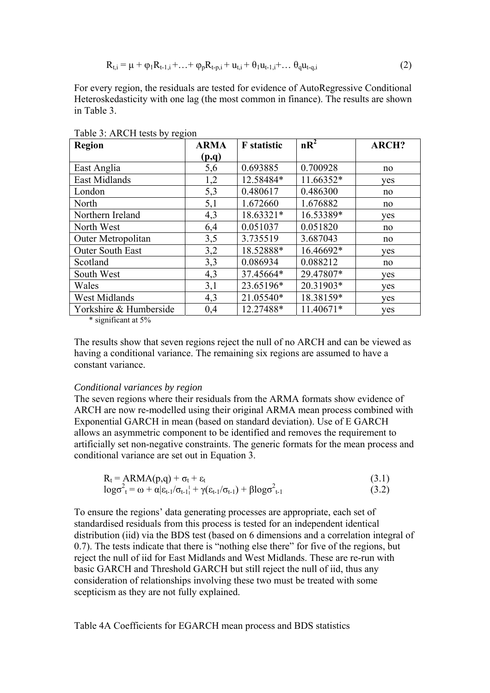$$
R_{t,i} = \mu + \varphi_1 R_{t-1,i} + ... + \varphi_p R_{t-p,i} + u_{t,i} + \theta_1 u_{t-1,i} + ... \theta_q u_{t-q,i}
$$
(2)

For every region, the residuals are tested for evidence of AutoRegressive Conditional Heteroskedasticity with one lag (the most common in finance). The results are shown in Table 3.

| <b>Region</b>           | <b>ARMA</b> | <b>F</b> statistic | $nR^2$    | <b>ARCH?</b> |
|-------------------------|-------------|--------------------|-----------|--------------|
|                         | (p,q)       |                    |           |              |
| East Anglia             | 5,6         | 0.693885           | 0.700928  | no           |
| <b>East Midlands</b>    | 1,2         | 12.58484*          | 11.66352* | yes          |
| London                  | 5,3         | 0.480617           | 0.486300  | no           |
| North                   | 5,1         | 1.672660           | 1.676882  | no           |
| Northern Ireland        | 4,3         | 18.63321*          | 16.53389* | yes          |
| North West              | 6,4         | 0.051037           | 0.051820  | no           |
| Outer Metropolitan      | 3,5         | 3.735519           | 3.687043  | no           |
| <b>Outer South East</b> | 3,2         | 18.52888*          | 16.46692* | yes          |
| Scotland                | 3,3         | 0.086934           | 0.088212  | no           |
| South West              | 4,3         | 37.45664*          | 29.47807* | yes          |
| Wales                   | 3,1         | 23.65196*          | 20.31903* | yes          |
| West Midlands           | 4,3         | 21.05540*          | 18.38159* | yes          |
| Yorkshire & Humberside  | 0,4         | 12.27488*          | 11.40671* | yes          |

Table 3: ARCH tests by region

\* significant at 5%

The results show that seven regions reject the null of no ARCH and can be viewed as having a conditional variance. The remaining six regions are assumed to have a constant variance.

#### *Conditional variances by region*

The seven regions where their residuals from the ARMA formats show evidence of ARCH are now re-modelled using their original ARMA mean process combined with Exponential GARCH in mean (based on standard deviation). Use of E GARCH allows an asymmetric component to be identified and removes the requirement to artificially set non-negative constraints. The generic formats for the mean process and conditional variance are set out in Equation 3.

$$
R_t = ARMA(p,q) + \sigma_t + \varepsilon_t
$$
\n
$$
\log \sigma_{t}^2 = \omega + \alpha |\varepsilon_{t-1}/\sigma_{t-1}| + \gamma (\varepsilon_{t-1}/\sigma_{t-1}) + \beta \log \sigma_{t-1}^2
$$
\n(3.1)

To ensure the regions' data generating processes are appropriate, each set of standardised residuals from this process is tested for an independent identical distribution (iid) via the BDS test (based on 6 dimensions and a correlation integral of 0.7). The tests indicate that there is "nothing else there" for five of the regions, but reject the null of iid for East Midlands and West Midlands. These are re-run with basic GARCH and Threshold GARCH but still reject the null of iid, thus any consideration of relationships involving these two must be treated with some scepticism as they are not fully explained.

Table 4A Coefficients for EGARCH mean process and BDS statistics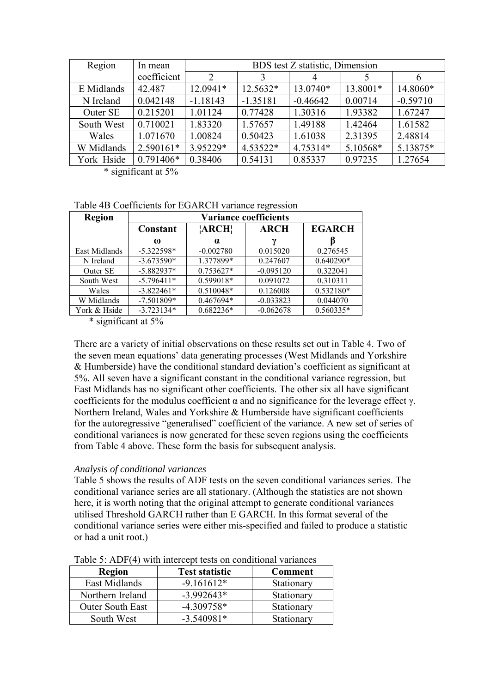| Region     | In mean     |                | BDS test Z statistic, Dimension |            |          |            |  |
|------------|-------------|----------------|---------------------------------|------------|----------|------------|--|
|            | coefficient | $\overline{2}$ | 3                               | 4          |          | 6          |  |
| E Midlands | 42.487      | 12.0941*       | 12.5632*                        | 13.0740*   | 13.8001* | 14.8060*   |  |
| N Ireland  | 0.042148    | $-1.18143$     | $-1.35181$                      | $-0.46642$ | 0.00714  | $-0.59710$ |  |
| Outer SE   | 0.215201    | 1.01124        | 0.77428                         | 1.30316    | 1.93382  | 1.67247    |  |
| South West | 0.710021    | 1.83320        | 1.57657                         | 1.49188    | 1.42464  | 1.61582    |  |
| Wales      | 1.071670    | 1.00824        | 0.50423                         | 1.61038    | 2.31395  | 2.48814    |  |
| W Midlands | 2.590161*   | 3.95229*       | 4.53522*                        | 4.75314*   | 5.10568* | 5.13875*   |  |
| York Hside | $0.791406*$ | 0.38406        | 0.54131                         | 0.85337    | 0.97235  | 1.27654    |  |

\* significant at 5%

Table 4B Coefficients for EGARCH variance regression

| <b>Region</b> | <b>Variance coefficients</b> |             |                           |               |  |  |
|---------------|------------------------------|-------------|---------------------------|---------------|--|--|
|               | Constant                     | ARCH!       | <b>ARCH</b>               | <b>EGARCH</b> |  |  |
|               | $\omega$                     | $\alpha$    | $\boldsymbol{\mathsf{v}}$ |               |  |  |
| East Midlands | $-5.322598*$                 | $-0.002780$ | 0.015020                  | 0.276545      |  |  |
| N Ireland     | $-3.673590*$                 | 1.377899*   | 0.247607                  | 0.640290*     |  |  |
| Outer SE      | $-5.882937*$                 | $0.753627*$ | $-0.095120$               | 0.322041      |  |  |
| South West    | $-5.796411*$                 | 0.599018*   | 0.091072                  | 0.310311      |  |  |
| Wales         | $-3.822461*$                 | 0.510048*   | 0.126008                  | 0.532180*     |  |  |
| W Midlands    | $-7.501809*$                 | 0.467694*   | $-0.033823$               | 0.044070      |  |  |
| York & Hside  | $-3.723134*$                 | $0.682236*$ | $-0.062678$               | $0.560335*$   |  |  |

\* significant at 5%

There are a variety of initial observations on these results set out in Table 4. Two of the seven mean equations' data generating processes (West Midlands and Yorkshire & Humberside) have the conditional standard deviation's coefficient as significant at 5%. All seven have a significant constant in the conditional variance regression, but East Midlands has no significant other coefficients. The other six all have significant coefficients for the modulus coefficient  $\alpha$  and no significance for the leverage effect γ. Northern Ireland, Wales and Yorkshire & Humberside have significant coefficients for the autoregressive "generalised" coefficient of the variance. A new set of series of conditional variances is now generated for these seven regions using the coefficients from Table 4 above. These form the basis for subsequent analysis.

## *Analysis of conditional variances*

Table 5 shows the results of ADF tests on the seven conditional variances series. The conditional variance series are all stationary. (Although the statistics are not shown here, it is worth noting that the original attempt to generate conditional variances utilised Threshold GARCH rather than E GARCH. In this format several of the conditional variance series were either mis-specified and failed to produce a statistic or had a unit root.)

| <b>Region</b>           | <b>Test statistic</b> | <b>Comment</b> |  |  |  |
|-------------------------|-----------------------|----------------|--|--|--|
| East Midlands           | $-9.161612*$          | Stationary     |  |  |  |
| Northern Ireland        | $-3.992643*$          | Stationary     |  |  |  |
| <b>Outer South East</b> | $-4.309758*$          | Stationary     |  |  |  |
| South West              | $-3.540981*$          | Stationary     |  |  |  |

Table  $5:$  ADF(4) with intercept tests on conditional variances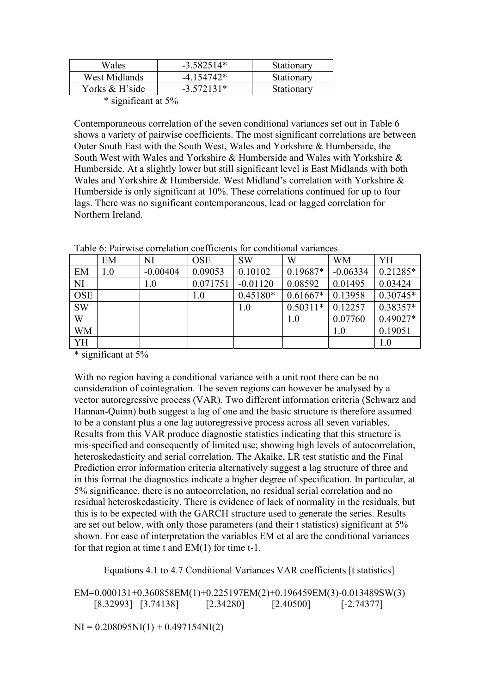| Wales          | $-3.582514*$ | Stationary |
|----------------|--------------|------------|
| West Midlands  | $-4.154742*$ | Stationary |
| Yorks & H'side | $-3.572131*$ | Stationary |
|                |              |            |

<sup>\*</sup> significant at 5%

Contemporaneous correlation of the seven conditional variances set out in Table 6 shows a variety of pairwise coefficients. The most significant correlations are between Outer South East with the South West, Wales and Yorkshire & Humberside, the South West with Wales and Yorkshire & Humberside and Wales with Yorkshire & Humberside. At a slightly lower but still significant level is East Midlands with both Wales and Yorkshire & Humberside. West Midland's correlation with Yorkshire & Humberside is only significant at 10%. These correlations continued for up to four lags. There was no significant contemporaneous, lead or lagged correlation for Northern Ireland.

|            | EM  | NI         | <b>OSE</b> | <b>SW</b>  | W          | <b>WM</b>  | YH         |
|------------|-----|------------|------------|------------|------------|------------|------------|
| EM         | 1.0 | $-0.00404$ | 0.09053    | 0.10102    | $0.19687*$ | $-0.06334$ | $0.21285*$ |
| <b>NI</b>  |     | 1.0        | 0.071751   | $-0.01120$ | 0.08592    | 0.01495    | 0.03424    |
| <b>OSE</b> |     |            | 1.0        | $0.45180*$ | $0.61667*$ | 0.13958    | $0.30745*$ |
| <b>SW</b>  |     |            |            | 1.0        | $0.50311*$ | 0.12257    | $0.38357*$ |
| W          |     |            |            |            | 1.0        | 0.07760    | 0.49027*   |
| WM         |     |            |            |            |            | 1.0        | 0.19051    |
| YH         |     |            |            |            |            |            | 1.0        |

Table 6: Pairwise correlation coefficients for conditional variances

\* significant at 5%

With no region having a conditional variance with a unit root there can be no consideration of cointegration. The seven regions can however be analysed by a vector autoregressive process (VAR). Two different information criteria (Schwarz and Hannan-Quinn) both suggest a lag of one and the basic structure is therefore assumed to be a constant plus a one lag autoregressive process across all seven variables. Results from this VAR produce diagnostic statistics indicating that this structure is mis-specified and consequently of limited use; showing high levels of autocorrelation, heteroskedasticity and serial correlation. The Akaike, LR test statistic and the Final Prediction error information criteria alternatively suggest a lag structure of three and in this format the diagnostics indicate a higher degree of specification. In particular, at 5% significance, there is no autocorrelation, no residual serial correlation and no residual heteroskedasticity. There is evidence of lack of normality in the residuals, but this is to be expected with the GARCH structure used to generate the series. Results are set out below, with only those parameters (and their t statistics) significant at 5% shown. For ease of interpretation the variables EM et al are the conditional variances for that region at time t and EM(1) for time t-1.

Equations 4.1 to 4.7 Conditional Variances VAR coefficients [t statistics]

EM=0.000131+0.360858EM(1)+0.225197EM(2)+0.196459EM(3)-0.013489SW(3) [8.32993] [3.74138] [2.34280] [2.40500] [-2.74377]

 $NI = 0.208095NI(1) + 0.497154NI(2)$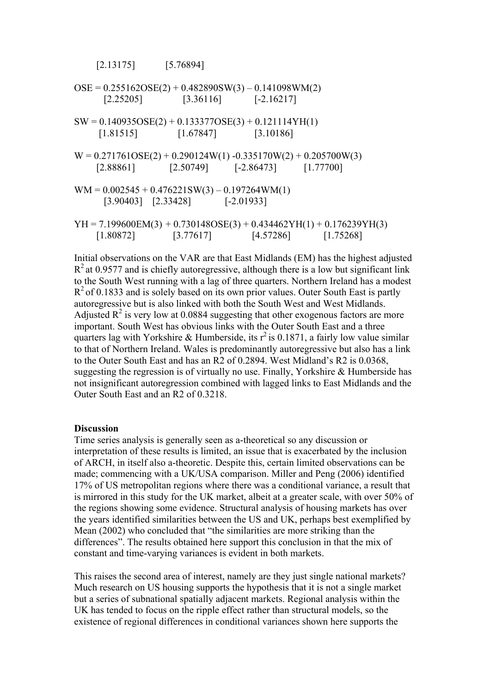$[2.13175]$   $[5.76894]$ 

 $OSE = 0.255162OSE(2) + 0.482890SW(3) - 0.141098WM(2)$  $[2.25205]$   $[3.36116]$   $[-2.16217]$  $SW = 0.140935OSE(2) + 0.133377OSE(3) + 0.121114YH(1)$  $[1.81515]$   $[1.67847]$   $[3.10186]$  $W = 0.271761OSE(2) + 0.290124W(1) -0.335170W(2) + 0.205700W(3)$ [2.88861] [2.50749] [-2.86473] [1.77700]  $WM = 0.002545 + 0.476221SW(3) - 0.197264WM(1)$ [3.90403] [2.33428] [-2.01933]  $YH = 7.199600EM(3) + 0.730148OSE(3) + 0.434462YH(1) + 0.176239YH(3)$  $[1.80872]$   $[3.77617]$   $[4.57286]$   $[1.75268]$ 

Initial observations on the VAR are that East Midlands (EM) has the highest adjusted  $R<sup>2</sup>$  at 0.9577 and is chiefly autoregressive, although there is a low but significant link to the South West running with a lag of three quarters. Northern Ireland has a modest  $R<sup>2</sup>$  of 0.1833 and is solely based on its own prior values. Outer South East is partly autoregressive but is also linked with both the South West and West Midlands. Adjusted  $R^2$  is very low at 0.0884 suggesting that other exogenous factors are more important. South West has obvious links with the Outer South East and a three quarters lag with Yorkshire & Humberside, its  $r^2$  is 0.1871, a fairly low value similar to that of Northern Ireland. Wales is predominantly autoregressive but also has a link to the Outer South East and has an R2 of 0.2894. West Midland's R2 is 0.0368, suggesting the regression is of virtually no use. Finally, Yorkshire & Humberside has not insignificant autoregression combined with lagged links to East Midlands and the Outer South East and an R2 of 0.3218.

## **Discussion**

Time series analysis is generally seen as a-theoretical so any discussion or interpretation of these results is limited, an issue that is exacerbated by the inclusion of ARCH, in itself also a-theoretic. Despite this, certain limited observations can be made; commencing with a UK/USA comparison. Miller and Peng (2006) identified 17% of US metropolitan regions where there was a conditional variance, a result that is mirrored in this study for the UK market, albeit at a greater scale, with over 50% of the regions showing some evidence. Structural analysis of housing markets has over the years identified similarities between the US and UK, perhaps best exemplified by Mean (2002) who concluded that "the similarities are more striking than the differences". The results obtained here support this conclusion in that the mix of constant and time-varying variances is evident in both markets.

This raises the second area of interest, namely are they just single national markets? Much research on US housing supports the hypothesis that it is not a single market but a series of subnational spatially adjacent markets. Regional analysis within the UK has tended to focus on the ripple effect rather than structural models, so the existence of regional differences in conditional variances shown here supports the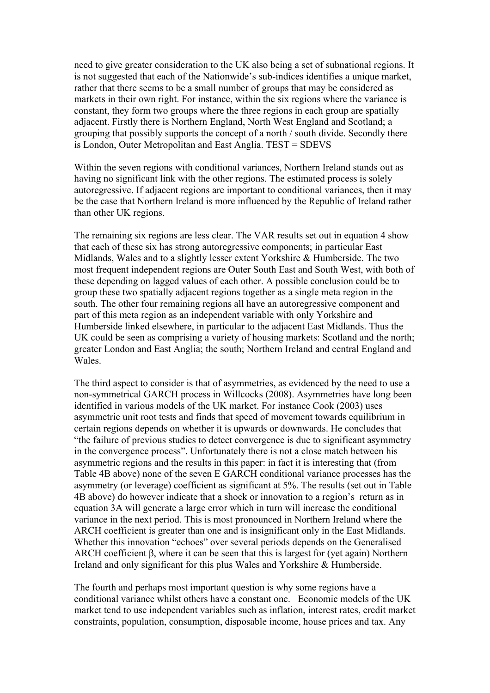need to give greater consideration to the UK also being a set of subnational regions. It is not suggested that each of the Nationwide's sub-indices identifies a unique market, rather that there seems to be a small number of groups that may be considered as markets in their own right. For instance, within the six regions where the variance is constant, they form two groups where the three regions in each group are spatially adjacent. Firstly there is Northern England, North West England and Scotland; a grouping that possibly supports the concept of a north / south divide. Secondly there is London, Outer Metropolitan and East Anglia. TEST = SDEVS

Within the seven regions with conditional variances, Northern Ireland stands out as having no significant link with the other regions. The estimated process is solely autoregressive. If adjacent regions are important to conditional variances, then it may be the case that Northern Ireland is more influenced by the Republic of Ireland rather than other UK regions.

The remaining six regions are less clear. The VAR results set out in equation 4 show that each of these six has strong autoregressive components; in particular East Midlands, Wales and to a slightly lesser extent Yorkshire & Humberside. The two most frequent independent regions are Outer South East and South West, with both of these depending on lagged values of each other. A possible conclusion could be to group these two spatially adjacent regions together as a single meta region in the south. The other four remaining regions all have an autoregressive component and part of this meta region as an independent variable with only Yorkshire and Humberside linked elsewhere, in particular to the adjacent East Midlands. Thus the UK could be seen as comprising a variety of housing markets: Scotland and the north; greater London and East Anglia; the south; Northern Ireland and central England and Wales.

The third aspect to consider is that of asymmetries, as evidenced by the need to use a non-symmetrical GARCH process in Willcocks (2008). Asymmetries have long been identified in various models of the UK market. For instance Cook (2003) uses asymmetric unit root tests and finds that speed of movement towards equilibrium in certain regions depends on whether it is upwards or downwards. He concludes that "the failure of previous studies to detect convergence is due to significant asymmetry in the convergence process". Unfortunately there is not a close match between his asymmetric regions and the results in this paper: in fact it is interesting that (from Table 4B above) none of the seven E GARCH conditional variance processes has the asymmetry (or leverage) coefficient as significant at 5%. The results (set out in Table 4B above) do however indicate that a shock or innovation to a region's return as in equation 3A will generate a large error which in turn will increase the conditional variance in the next period. This is most pronounced in Northern Ireland where the ARCH coefficient is greater than one and is insignificant only in the East Midlands. Whether this innovation "echoes" over several periods depends on the Generalised ARCH coefficient  $\beta$ , where it can be seen that this is largest for (yet again) Northern Ireland and only significant for this plus Wales and Yorkshire & Humberside.

The fourth and perhaps most important question is why some regions have a conditional variance whilst others have a constant one. Economic models of the UK market tend to use independent variables such as inflation, interest rates, credit market constraints, population, consumption, disposable income, house prices and tax. Any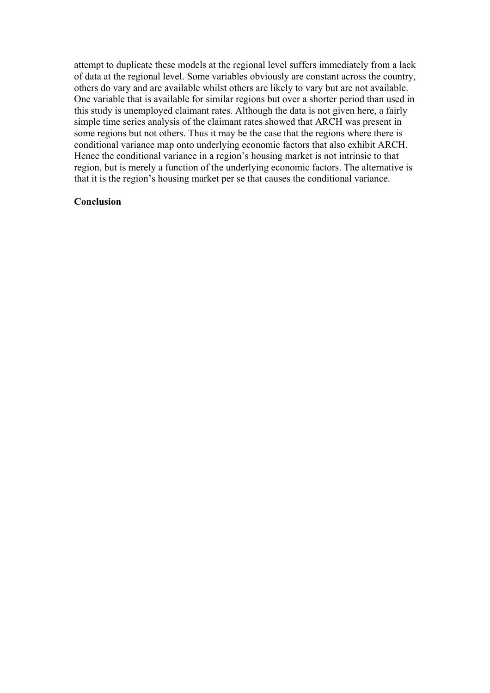attempt to duplicate these models at the regional level suffers immediately from a lack of data at the regional level. Some variables obviously are constant across the country, others do vary and are available whilst others are likely to vary but are not available. One variable that is available for similar regions but over a shorter period than used in this study is unemployed claimant rates. Although the data is not given here, a fairly simple time series analysis of the claimant rates showed that ARCH was present in some regions but not others. Thus it may be the case that the regions where there is conditional variance map onto underlying economic factors that also exhibit ARCH. Hence the conditional variance in a region's housing market is not intrinsic to that region, but is merely a function of the underlying economic factors. The alternative is that it is the region's housing market per se that causes the conditional variance.

#### **Conclusion**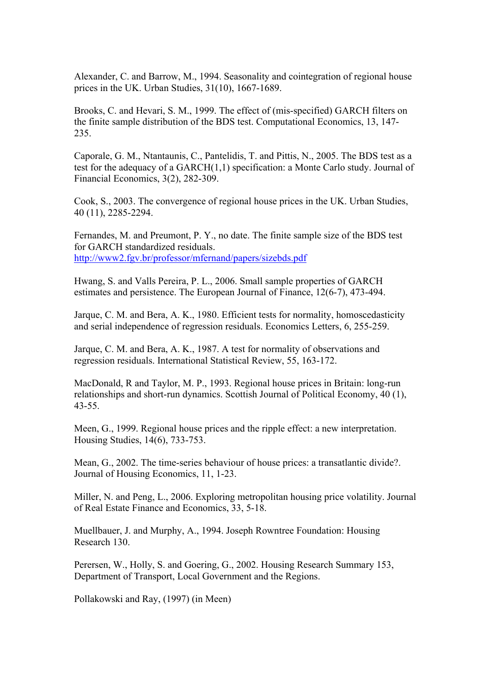Alexander, C. and Barrow, M., 1994. Seasonality and cointegration of regional house prices in the UK. Urban Studies, 31(10), 1667-1689.

Brooks, C. and Hevari, S. M., 1999. The effect of (mis-specified) GARCH filters on the finite sample distribution of the BDS test. Computational Economics, 13, 147- 235.

Caporale, G. M., Ntantaunis, C., Pantelidis, T. and Pittis, N., 2005. The BDS test as a test for the adequacy of a GARCH(1,1) specification: a Monte Carlo study. Journal of Financial Economics, 3(2), 282-309.

Cook, S., 2003. The convergence of regional house prices in the UK. Urban Studies, 40 (11), 2285-2294.

Fernandes, M. and Preumont, P. Y., no date. The finite sample size of the BDS test for GARCH standardized residuals. <http://www2.fgv.br/professor/mfernand/papers/sizebds.pdf>

Hwang, S. and Valls Pereira, P. L., 2006. Small sample properties of GARCH estimates and persistence. The European Journal of Finance, 12(6-7), 473-494.

Jarque, C. M. and Bera, A. K., 1980. Efficient tests for normality, homoscedasticity and serial independence of regression residuals. Economics Letters, 6, 255-259.

Jarque, C. M. and Bera, A. K., 1987. A test for normality of observations and regression residuals. International Statistical Review, 55, 163-172.

MacDonald, R and Taylor, M. P., 1993. Regional house prices in Britain: long-run relationships and short-run dynamics. Scottish Journal of Political Economy, 40 (1), 43-55.

Meen, G., 1999. Regional house prices and the ripple effect: a new interpretation. Housing Studies, 14(6), 733-753.

Mean, G., 2002. The time-series behaviour of house prices: a transatlantic divide?. Journal of Housing Economics, 11, 1-23.

Miller, N. and Peng, L., 2006. Exploring metropolitan housing price volatility. Journal of Real Estate Finance and Economics, 33, 5-18.

Muellbauer, J. and Murphy, A., 1994. Joseph Rowntree Foundation: Housing Research 130.

Perersen, W., Holly, S. and Goering, G., 2002. Housing Research Summary 153, Department of Transport, Local Government and the Regions.

Pollakowski and Ray, (1997) (in Meen)